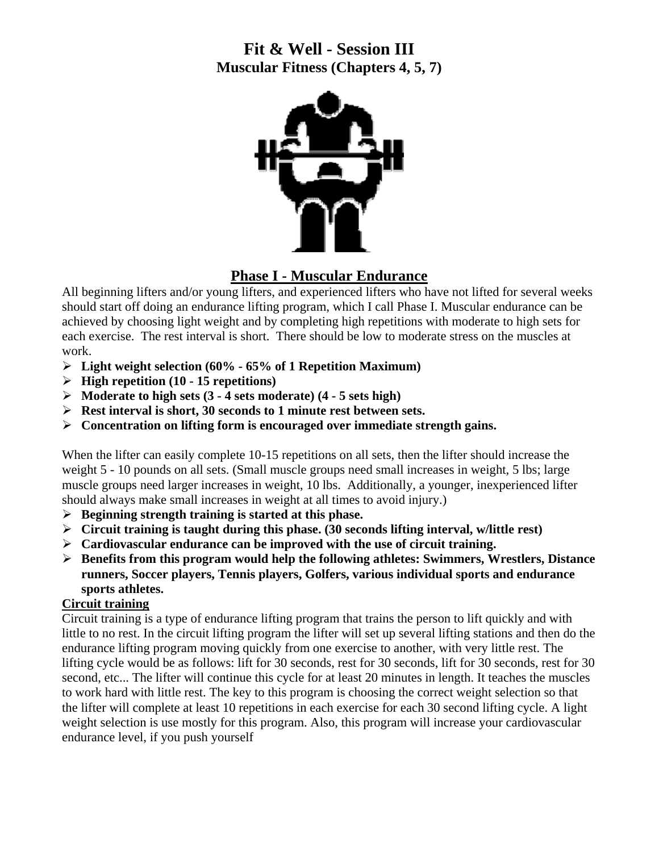# **Fit & Well - Session III Muscular Fitness (Chapters 4, 5, 7)**



## **Phase I - Muscular Endurance**

All beginning lifters and/or young lifters, and experienced lifters who have not lifted for several weeks should start off doing an endurance lifting program, which I call Phase I. Muscular endurance can be achieved by choosing light weight and by completing high repetitions with moderate to high sets for each exercise. The rest interval is short. There should be low to moderate stress on the muscles at work.

- **Light weight selection (60% 65% of 1 Repetition Maximum)**
- **High repetition (10 15 repetitions)**
- **Moderate to high sets (3 4 sets moderate) (4 5 sets high)**
- **Rest interval is short, 30 seconds to 1 minute rest between sets.**
- **Concentration on lifting form is encouraged over immediate strength gains.**

When the lifter can easily complete 10-15 repetitions on all sets, then the lifter should increase the weight 5 - 10 pounds on all sets. (Small muscle groups need small increases in weight, 5 lbs; large muscle groups need larger increases in weight, 10 lbs. Additionally, a younger, inexperienced lifter should always make small increases in weight at all times to avoid injury.)

- **Beginning strength training is started at this phase.**
- **Circuit training is taught during this phase. (30 seconds lifting interval, w/little rest)**
- **Cardiovascular endurance can be improved with the use of circuit training.**
- **Benefits from this program would help the following athletes: Swimmers, Wrestlers, Distance runners, Soccer players, Tennis players, Golfers, various individual sports and endurance sports athletes.**

### **Circuit training**

Circuit training is a type of endurance lifting program that trains the person to lift quickly and with little to no rest. In the circuit lifting program the lifter will set up several lifting stations and then do the endurance lifting program moving quickly from one exercise to another, with very little rest. The lifting cycle would be as follows: lift for 30 seconds, rest for 30 seconds, lift for 30 seconds, rest for 30 second, etc... The lifter will continue this cycle for at least 20 minutes in length. It teaches the muscles to work hard with little rest. The key to this program is choosing the correct weight selection so that the lifter will complete at least 10 repetitions in each exercise for each 30 second lifting cycle. A light weight selection is use mostly for this program. Also, this program will increase your cardiovascular endurance level, if you push yourself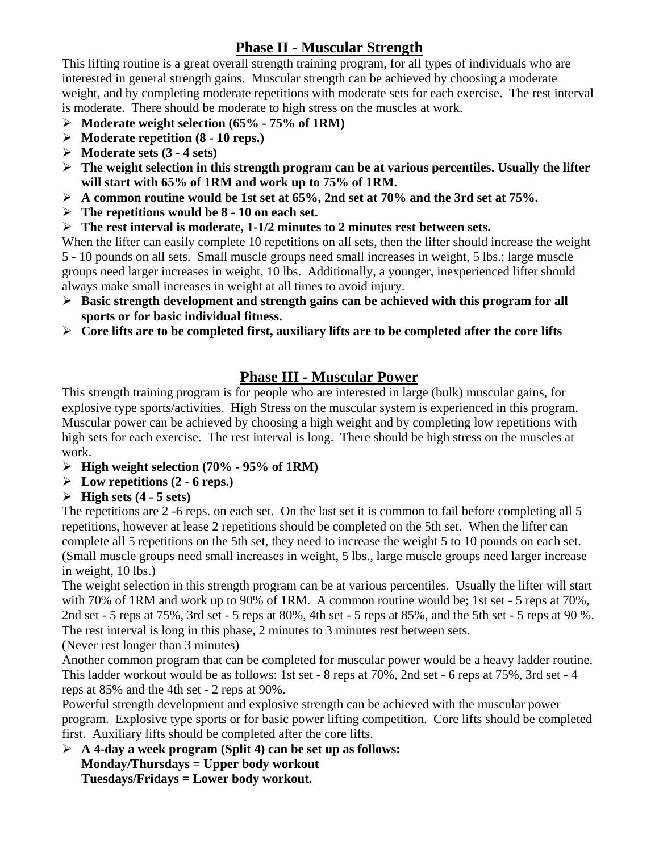## **Phase II - Muscular Strength**

This lifting routine is a great overall strength training program, for all types of individuals who are interested in general strength gains. Muscular strength can be achieved by choosing a moderate weight, and by completing moderate repetitions with moderate sets for each exercise. The rest interval is moderate. There should be moderate to high stress on the muscles at work.

- **Moderate weight selection (65% 75% of 1RM)**
- **Moderate repetition (8 10 reps.)**
- **Moderate sets (3 4 sets)**
- **The weight selection in this strength program can be at various percentiles. Usually the lifter will start with 65% of 1RM and work up to 75% of 1RM.**
- **A common routine would be 1st set at 65%, 2nd set at 70% and the 3rd set at 75%.**
- **The repetitions would be 8 10 on each set.**
- **The rest interval is moderate, 1-1/2 minutes to 2 minutes rest between sets.**

When the lifter can easily complete 10 repetitions on all sets, then the lifter should increase the weight 5 - 10 pounds on all sets. Small muscle groups need small increases in weight, 5 lbs.; large muscle groups need larger increases in weight, 10 lbs. Additionally, a younger, inexperienced lifter should always make small increases in weight at all times to avoid injury.

- **Basic strength development and strength gains can be achieved with this program for all sports or for basic individual fitness.**
- **Core lifts are to be completed first, auxiliary lifts are to be completed after the core lifts**

## **Phase III - Muscular Power**

This strength training program is for people who are interested in large (bulk) muscular gains, for explosive type sports/activities. High Stress on the muscular system is experienced in this program. Muscular power can be achieved by choosing a high weight and by completing low repetitions with high sets for each exercise. The rest interval is long. There should be high stress on the muscles at work.

- **High weight selection (70% 95% of 1RM)**
- **Low repetitions (2 6 reps.)**
- $\triangleright$  **High sets (4 5 sets)**

The repetitions are 2 -6 reps. on each set. On the last set it is common to fail before completing all 5 repetitions, however at lease 2 repetitions should be completed on the 5th set. When the lifter can complete all 5 repetitions on the 5th set, they need to increase the weight 5 to 10 pounds on each set. (Small muscle groups need small increases in weight, 5 lbs., large muscle groups need larger increase in weight, 10 lbs.)

The weight selection in this strength program can be at various percentiles. Usually the lifter will start with 70% of 1RM and work up to 90% of 1RM. A common routine would be; 1st set - 5 reps at 70%, 2nd set - 5 reps at 75%, 3rd set - 5 reps at 80%, 4th set - 5 reps at 85%, and the 5th set - 5 reps at 90 %. The rest interval is long in this phase, 2 minutes to 3 minutes rest between sets.

(Never rest longer than 3 minutes)

Another common program that can be completed for muscular power would be a heavy ladder routine. This ladder workout would be as follows: 1st set - 8 reps at 70%, 2nd set - 6 reps at 75%, 3rd set - 4 reps at 85% and the 4th set - 2 reps at 90%.

Powerful strength development and explosive strength can be achieved with the muscular power program. Explosive type sports or for basic power lifting competition. Core lifts should be completed first. Auxiliary lifts should be completed after the core lifts.

 **A 4-day a week program (Split 4) can be set up as follows: Monday/Thursdays = Upper body workout Tuesdays/Fridays = Lower body workout.**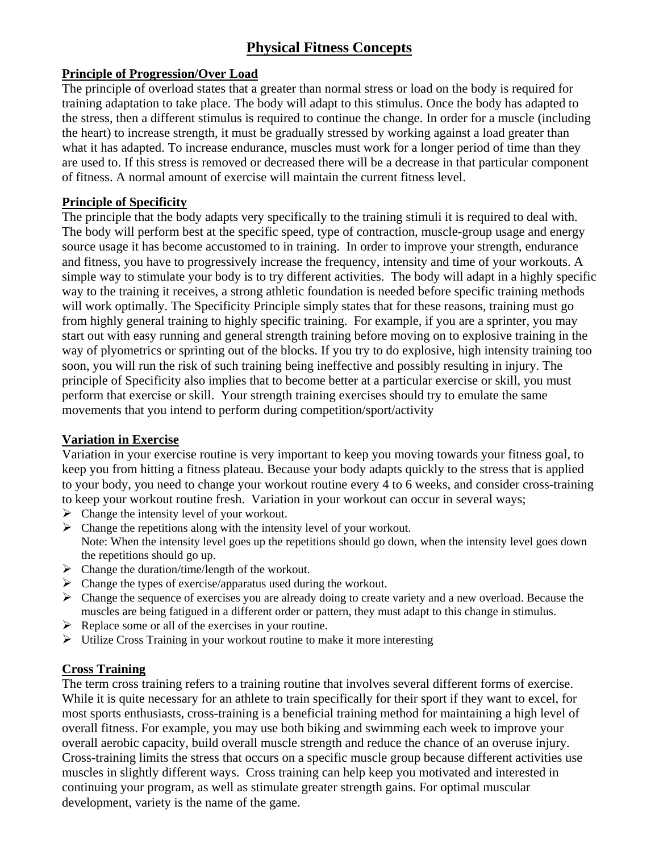## **Physical Fitness Concepts**

#### **Principle of Progression/Over Load**

The principle of overload states that a greater than normal stress or load on the body is required for training adaptation to take place. The body will adapt to this stimulus. Once the body has adapted to the stress, then a different stimulus is required to continue the change. In order for a muscle (including the heart) to increase strength, it must be gradually stressed by working against a load greater than what it has adapted. To increase endurance, muscles must work for a longer period of time than they are used to. If this stress is removed or decreased there will be a decrease in that particular component of fitness. A normal amount of exercise will maintain the current fitness level.

#### **Principle of Specificity**

The principle that the body adapts very specifically to the training stimuli it is required to deal with. The body will perform best at the specific speed, type of contraction, muscle-group usage and energy source usage it has become accustomed to in training. In order to improve your strength, endurance and fitness, you have to progressively increase the frequency, intensity and time of your workouts. A simple way to stimulate your body is to try different activities. The body will adapt in a highly specific way to the training it receives, a strong athletic foundation is needed before specific training methods will work optimally. The Specificity Principle simply states that for these reasons, training must go from highly general training to highly specific training. For example, if you are a sprinter, you may start out with easy running and general strength training before moving on to explosive training in the way of plyometrics or sprinting out of the blocks. If you try to do explosive, high intensity training too soon, you will run the risk of such training being ineffective and possibly resulting in injury. The principle of Specificity also implies that to become better at a particular exercise or skill, you must perform that exercise or skill. Your strength training exercises should try to emulate the same movements that you intend to perform during competition/sport/activity

#### **Variation in Exercise**

Variation in your exercise routine is very important to keep you moving towards your fitness goal, to keep you from hitting a fitness plateau. Because your body adapts quickly to the stress that is applied to your body, you need to change your workout routine every 4 to 6 weeks, and consider cross-training to keep your workout routine fresh. Variation in your workout can occur in several ways;

- $\triangleright$  Change the intensity level of your workout.
- $\triangleright$  Change the repetitions along with the intensity level of your workout. Note: When the intensity level goes up the repetitions should go down, when the intensity level goes down the repetitions should go up.
- $\triangleright$  Change the duration/time/length of the workout.
- $\triangleright$  Change the types of exercise/apparatus used during the workout.
- $\triangleright$  Change the sequence of exercises you are already doing to create variety and a new overload. Because the muscles are being fatigued in a different order or pattern, they must adapt to this change in stimulus.
- $\triangleright$  Replace some or all of the exercises in your routine.
- $\triangleright$  Utilize Cross Training in your workout routine to make it more interesting

### **Cross Training**

The term cross training refers to a training routine that involves several different forms of exercise. While it is quite necessary for an athlete to train specifically for their sport if they want to excel, for most sports enthusiasts, cross-training is a beneficial training method for maintaining a high level of overall fitness. For example, you may use both biking and swimming each week to improve your overall aerobic capacity, build overall muscle strength and reduce the chance of an overuse injury. Cross-training limits the stress that occurs on a specific muscle group because different activities use muscles in slightly different ways. Cross training can help keep you motivated and interested in continuing your program, as well as stimulate greater strength gains. For optimal muscular development, variety is the name of the game.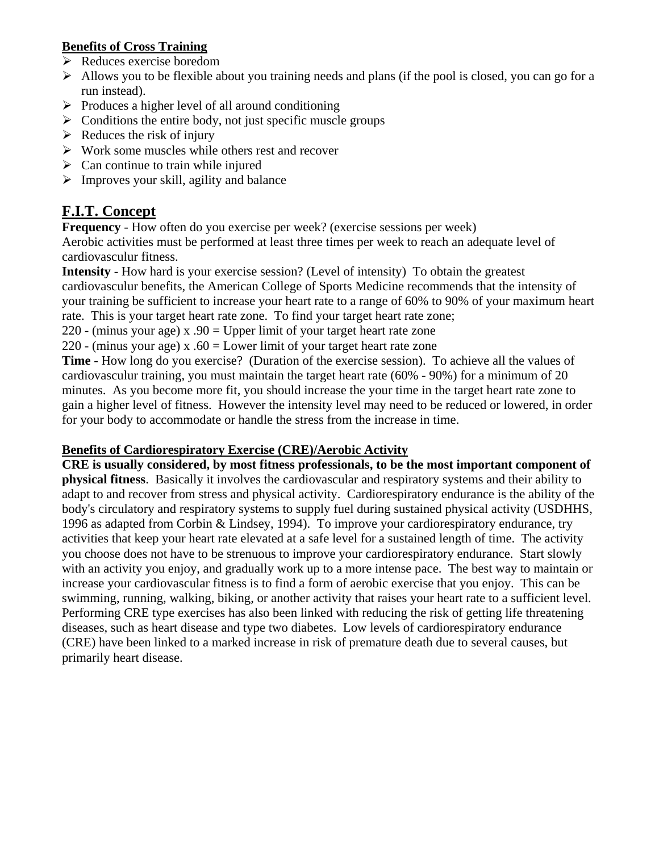#### **Benefits of Cross Training**

- Reduces exercise boredom
- $\triangleright$  Allows you to be flexible about you training needs and plans (if the pool is closed, you can go for a run instead).
- $\triangleright$  Produces a higher level of all around conditioning
- $\triangleright$  Conditions the entire body, not just specific muscle groups
- $\triangleright$  Reduces the risk of injury
- $\triangleright$  Work some muscles while others rest and recover
- $\triangleright$  Can continue to train while injured
- $\triangleright$  Improves your skill, agility and balance

## **F.I.T. Concept**

**Frequency** - How often do you exercise per week? (exercise sessions per week)

Aerobic activities must be performed at least three times per week to reach an adequate level of cardiovasculur fitness.

**Intensity** - How hard is your exercise session? (Level of intensity) To obtain the greatest cardiovasculur benefits, the American College of Sports Medicine recommends that the intensity of your training be sufficient to increase your heart rate to a range of 60% to 90% of your maximum heart rate. This is your target heart rate zone. To find your target heart rate zone;

220 - (minus your age) x  $.90 =$  Upper limit of your target heart rate zone

220 - (minus your age) x  $.60 =$  Lower limit of your target heart rate zone

**Time** - How long do you exercise? (Duration of the exercise session). To achieve all the values of cardiovasculur training, you must maintain the target heart rate (60% - 90%) for a minimum of 20 minutes. As you become more fit, you should increase the your time in the target heart rate zone to gain a higher level of fitness. However the intensity level may need to be reduced or lowered, in order for your body to accommodate or handle the stress from the increase in time.

#### **Benefits of Cardiorespiratory Exercise (CRE)/Aerobic Activity**

**CRE is usually considered, by most fitness professionals, to be the most important component of physical fitness**. Basically it involves the cardiovascular and respiratory systems and their ability to adapt to and recover from stress and physical activity. Cardiorespiratory endurance is the ability of the body's circulatory and respiratory systems to supply fuel during sustained physical activity (USDHHS, 1996 as adapted from Corbin & Lindsey, 1994). To improve your cardiorespiratory endurance, try activities that keep your heart rate elevated at a safe level for a sustained length of time. The activity you choose does not have to be strenuous to improve your cardiorespiratory endurance. Start slowly with an activity you enjoy, and gradually work up to a more intense pace. The best way to maintain or increase your cardiovascular fitness is to find a form of aerobic exercise that you enjoy. This can be swimming, running, walking, biking, or another activity that raises your heart rate to a sufficient level. Performing CRE type exercises has also been linked with reducing the risk of getting life threatening diseases, such as heart disease and type two diabetes. Low levels of cardiorespiratory endurance (CRE) have been linked to a marked increase in risk of premature death due to several causes, but primarily heart disease.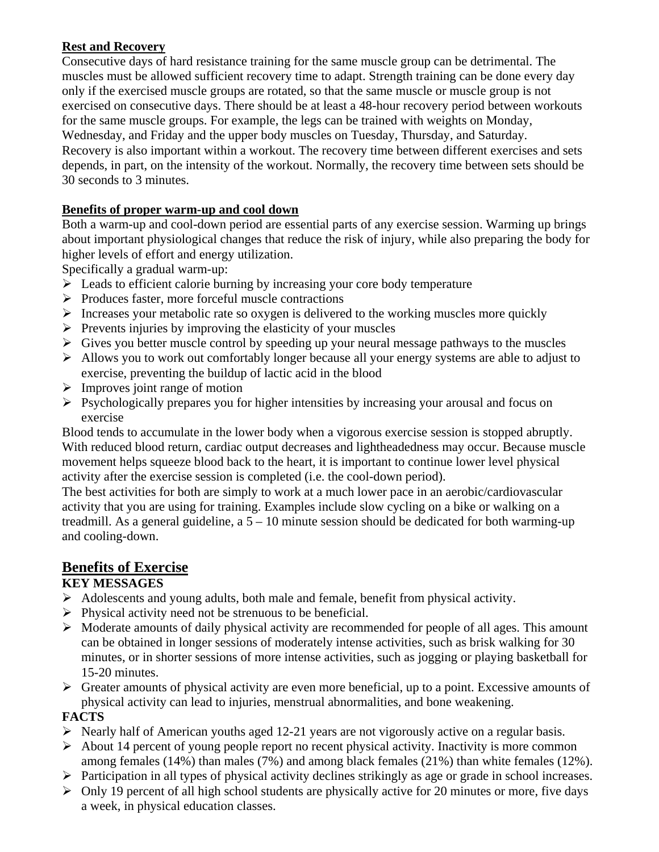#### **Rest and Recovery**

Consecutive days of hard resistance training for the same muscle group can be detrimental. The muscles must be allowed sufficient recovery time to adapt. Strength training can be done every day only if the exercised muscle groups are rotated, so that the same muscle or muscle group is not exercised on consecutive days. There should be at least a 48-hour recovery period between workouts for the same muscle groups. For example, the legs can be trained with weights on Monday, Wednesday, and Friday and the upper body muscles on Tuesday, Thursday, and Saturday. Recovery is also important within a workout. The recovery time between different exercises and sets depends, in part, on the intensity of the workout. Normally, the recovery time between sets should be 30 seconds to 3 minutes.

### **Benefits of proper warm-up and cool down**

Both a warm-up and cool-down period are essential parts of any exercise session. Warming up brings about important physiological changes that reduce the risk of injury, while also preparing the body for higher levels of effort and energy utilization.

Specifically a gradual warm-up:

- $\triangleright$  Leads to efficient calorie burning by increasing your core body temperature
- $\triangleright$  Produces faster, more forceful muscle contractions
- $\triangleright$  Increases your metabolic rate so oxygen is delivered to the working muscles more quickly
- $\triangleright$  Prevents injuries by improving the elasticity of your muscles
- $\triangleright$  Gives you better muscle control by speeding up your neural message pathways to the muscles
- $\triangleright$  Allows you to work out comfortably longer because all your energy systems are able to adjust to exercise, preventing the buildup of lactic acid in the blood
- $\triangleright$  Improves joint range of motion
- $\triangleright$  Psychologically prepares you for higher intensities by increasing your arousal and focus on exercise

Blood tends to accumulate in the lower body when a vigorous exercise session is stopped abruptly. With reduced blood return, cardiac output decreases and lightheadedness may occur. Because muscle movement helps squeeze blood back to the heart, it is important to continue lower level physical activity after the exercise session is completed (i.e. the cool-down period).

The best activities for both are simply to work at a much lower pace in an aerobic/cardiovascular activity that you are using for training. Examples include slow cycling on a bike or walking on a treadmill. As a general guideline,  $a 5 - 10$  minute session should be dedicated for both warming-up and cooling-down.

## **Benefits of Exercise**

### **KEY MESSAGES**

- $\triangleright$  Adolescents and young adults, both male and female, benefit from physical activity.
- $\triangleright$  Physical activity need not be strenuous to be beneficial.
- $\triangleright$  Moderate amounts of daily physical activity are recommended for people of all ages. This amount can be obtained in longer sessions of moderately intense activities, such as brisk walking for 30 minutes, or in shorter sessions of more intense activities, such as jogging or playing basketball for 15-20 minutes.
- $\triangleright$  Greater amounts of physical activity are even more beneficial, up to a point. Excessive amounts of physical activity can lead to injuries, menstrual abnormalities, and bone weakening.

### **FACTS**

- $\triangleright$  Nearly half of American youths aged 12-21 years are not vigorously active on a regular basis.
- $\triangleright$  About 14 percent of young people report no recent physical activity. Inactivity is more common among females (14%) than males (7%) and among black females (21%) than white females (12%).
- $\triangleright$  Participation in all types of physical activity declines strikingly as age or grade in school increases.
- $\triangleright$  Only 19 percent of all high school students are physically active for 20 minutes or more, five days a week, in physical education classes.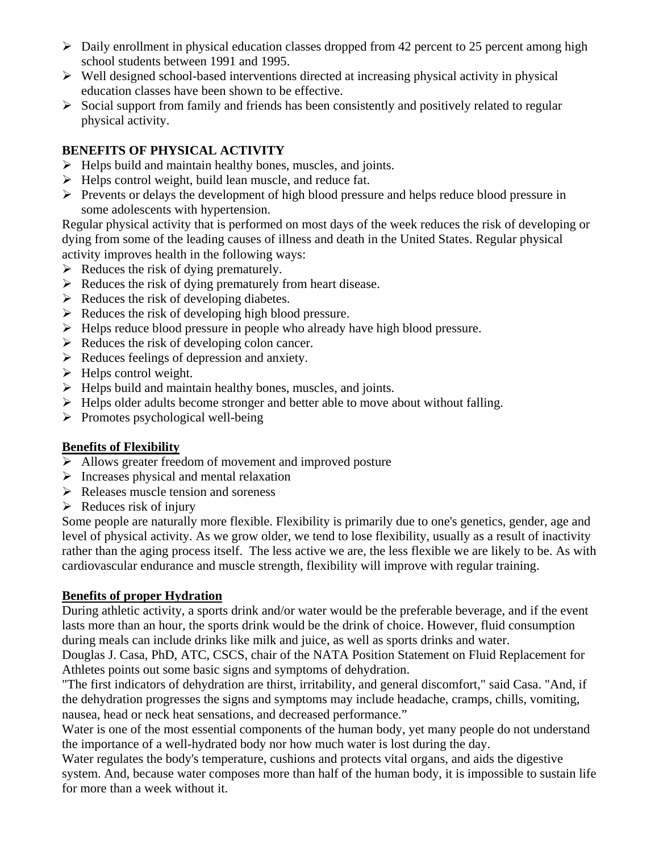- > Daily enrollment in physical education classes dropped from 42 percent to 25 percent among high school students between 1991 and 1995.
- $\triangleright$  Well designed school-based interventions directed at increasing physical activity in physical education classes have been shown to be effective.
- $\triangleright$  Social support from family and friends has been consistently and positively related to regular physical activity.

## **BENEFITS OF PHYSICAL ACTIVITY**

- $\triangleright$  Helps build and maintain healthy bones, muscles, and joints.
- $\triangleright$  Helps control weight, build lean muscle, and reduce fat.
- $\triangleright$  Prevents or delays the development of high blood pressure and helps reduce blood pressure in some adolescents with hypertension.

Regular physical activity that is performed on most days of the week reduces the risk of developing or dying from some of the leading causes of illness and death in the United States. Regular physical activity improves health in the following ways:

- $\triangleright$  Reduces the risk of dying prematurely.
- $\triangleright$  Reduces the risk of dying prematurely from heart disease.
- $\triangleright$  Reduces the risk of developing diabetes.
- $\triangleright$  Reduces the risk of developing high blood pressure.
- Helps reduce blood pressure in people who already have high blood pressure.
- $\triangleright$  Reduces the risk of developing colon cancer.
- $\triangleright$  Reduces feelings of depression and anxiety.
- $\blacktriangleright$  Helps control weight.
- $\blacktriangleright$  Helps build and maintain healthy bones, muscles, and joints.
- $\triangleright$  Helps older adults become stronger and better able to move about without falling.
- $\triangleright$  Promotes psychological well-being

### **Benefits of Flexibility**

- Allows greater freedom of movement and improved posture
- $\triangleright$  Increases physical and mental relaxation
- $\triangleright$  Releases muscle tension and soreness
- $\triangleright$  Reduces risk of injury

Some people are naturally more flexible. Flexibility is primarily due to one's genetics, gender, age and level of physical activity. As we grow older, we tend to lose flexibility, usually as a result of inactivity rather than the aging process itself. The less active we are, the less flexible we are likely to be. As with cardiovascular endurance and muscle strength, flexibility will improve with regular training.

#### **Benefits of proper Hydration**

During athletic activity, a sports drink and/or water would be the preferable beverage, and if the event lasts more than an hour, the sports drink would be the drink of choice. However, fluid consumption during meals can include drinks like milk and juice, as well as sports drinks and water.

Douglas J. Casa, PhD, ATC, CSCS, chair of the NATA Position Statement on Fluid Replacement for Athletes points out some basic signs and symptoms of dehydration.

"The first indicators of dehydration are thirst, irritability, and general discomfort," said Casa. "And, if the dehydration progresses the signs and symptoms may include headache, cramps, chills, vomiting, nausea, head or neck heat sensations, and decreased performance."

Water is one of the most essential components of the human body, yet many people do not understand the importance of a well-hydrated body nor how much water is lost during the day.

Water regulates the body's temperature, cushions and protects vital organs, and aids the digestive system. And, because water composes more than half of the human body, it is impossible to sustain life for more than a week without it.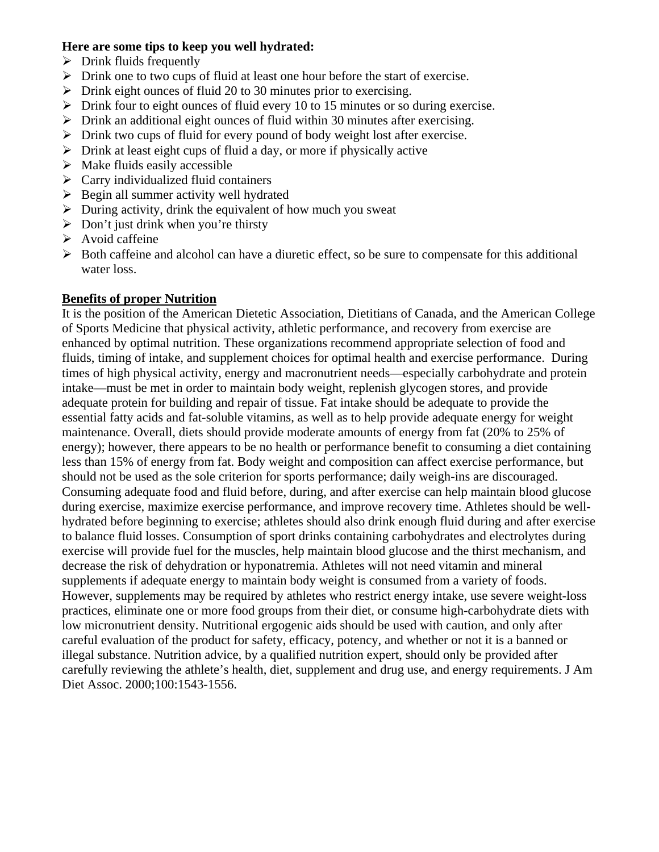#### **Here are some tips to keep you well hydrated:**

- $\triangleright$  Drink fluids frequently
- $\triangleright$  Drink one to two cups of fluid at least one hour before the start of exercise.
- $\triangleright$  Drink eight ounces of fluid 20 to 30 minutes prior to exercising.
- $\triangleright$  Drink four to eight ounces of fluid every 10 to 15 minutes or so during exercise.
- $\triangleright$  Drink an additional eight ounces of fluid within 30 minutes after exercising.
- $\triangleright$  Drink two cups of fluid for every pound of body weight lost after exercise.
- $\triangleright$  Drink at least eight cups of fluid a day, or more if physically active
- $\triangleright$  Make fluids easily accessible
- $\triangleright$  Carry individualized fluid containers
- $\triangleright$  Begin all summer activity well hydrated
- $\triangleright$  During activity, drink the equivalent of how much you sweat
- $\triangleright$  Don't just drink when you're thirsty
- $\triangleright$  Avoid caffeine
- $\triangleright$  Both caffeine and alcohol can have a diuretic effect, so be sure to compensate for this additional water loss.

#### **Benefits of proper Nutrition**

It is the position of the American Dietetic Association, Dietitians of Canada, and the American College of Sports Medicine that physical activity, athletic performance, and recovery from exercise are enhanced by optimal nutrition. These organizations recommend appropriate selection of food and fluids, timing of intake, and supplement choices for optimal health and exercise performance. During times of high physical activity, energy and macronutrient needs—especially carbohydrate and protein intake—must be met in order to maintain body weight, replenish glycogen stores, and provide adequate protein for building and repair of tissue. Fat intake should be adequate to provide the essential fatty acids and fat-soluble vitamins, as well as to help provide adequate energy for weight maintenance. Overall, diets should provide moderate amounts of energy from fat (20% to 25% of energy); however, there appears to be no health or performance benefit to consuming a diet containing less than 15% of energy from fat. Body weight and composition can affect exercise performance, but should not be used as the sole criterion for sports performance; daily weigh-ins are discouraged. Consuming adequate food and fluid before, during, and after exercise can help maintain blood glucose during exercise, maximize exercise performance, and improve recovery time. Athletes should be wellhydrated before beginning to exercise; athletes should also drink enough fluid during and after exercise to balance fluid losses. Consumption of sport drinks containing carbohydrates and electrolytes during exercise will provide fuel for the muscles, help maintain blood glucose and the thirst mechanism, and decrease the risk of dehydration or hyponatremia. Athletes will not need vitamin and mineral supplements if adequate energy to maintain body weight is consumed from a variety of foods. However, supplements may be required by athletes who restrict energy intake, use severe weight-loss practices, eliminate one or more food groups from their diet, or consume high-carbohydrate diets with low micronutrient density. Nutritional ergogenic aids should be used with caution, and only after careful evaluation of the product for safety, efficacy, potency, and whether or not it is a banned or illegal substance. Nutrition advice, by a qualified nutrition expert, should only be provided after carefully reviewing the athlete's health, diet, supplement and drug use, and energy requirements. J Am Diet Assoc. 2000;100:1543-1556.